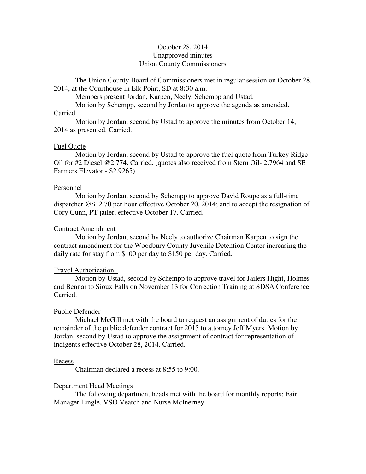# October 28, 2014 Unapproved minutes Union County Commissioners

The Union County Board of Commissioners met in regular session on October 28, 2014, at the Courthouse in Elk Point, SD at 8**:**30 a.m.

Members present Jordan, Karpen, Neely, Schempp and Ustad.

Motion by Schempp, second by Jordan to approve the agenda as amended.

## Carried.

 Motion by Jordan, second by Ustad to approve the minutes from October 14, 2014 as presented. Carried.

## Fuel Quote

 Motion by Jordan, second by Ustad to approve the fuel quote from Turkey Ridge Oil for #2 Diesel @2.774. Carried. (quotes also received from Stern Oil- 2.7964 and SE Farmers Elevator - \$2.9265)

## Personnel

 Motion by Jordan, second by Schempp to approve David Roupe as a full-time dispatcher @\$12.70 per hour effective October 20, 2014; and to accept the resignation of Cory Gunn, PT jailer, effective October 17. Carried.

### Contract Amendment

 Motion by Jordan, second by Neely to authorize Chairman Karpen to sign the contract amendment for the Woodbury County Juvenile Detention Center increasing the daily rate for stay from \$100 per day to \$150 per day. Carried.

## Travel Authorization

 Motion by Ustad, second by Schempp to approve travel for Jailers Hight, Holmes and Bennar to Sioux Falls on November 13 for Correction Training at SDSA Conference. Carried.

### Public Defender

 Michael McGill met with the board to request an assignment of duties for the remainder of the public defender contract for 2015 to attorney Jeff Myers. Motion by Jordan, second by Ustad to approve the assignment of contract for representation of indigents effective October 28, 2014. Carried.

### Recess

Chairman declared a recess at 8:55 to 9:00.

## Department Head Meetings

 The following department heads met with the board for monthly reports: Fair Manager Lingle, VSO Veatch and Nurse McInerney.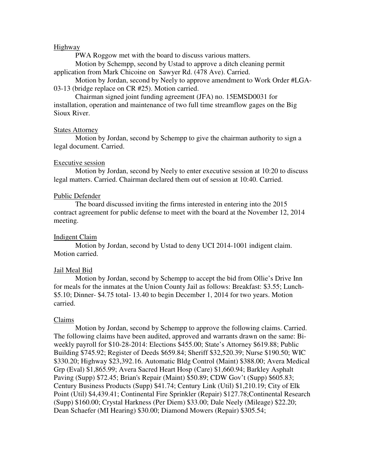## Highway

PWA Roggow met with the board to discuss various matters.

 Motion by Schempp, second by Ustad to approve a ditch cleaning permit application from Mark Chicoine on Sawyer Rd. (478 Ave). Carried.

 Motion by Jordan, second by Neely to approve amendment to Work Order #LGA-03-13 (bridge replace on CR #25). Motion carried.

 Chairman signed joint funding agreement (JFA) no. 15EMSD0031 for installation, operation and maintenance of two full time streamflow gages on the Big Sioux River.

### States Attorney

 Motion by Jordan, second by Schempp to give the chairman authority to sign a legal document. Carried.

### Executive session

 Motion by Jordan, second by Neely to enter executive session at 10:20 to discuss legal matters. Carried. Chairman declared them out of session at 10:40. Carried.

### Public Defender

 The board discussed inviting the firms interested in entering into the 2015 contract agreement for public defense to meet with the board at the November 12, 2014 meeting.

### Indigent Claim

 Motion by Jordan, second by Ustad to deny UCI 2014-1001 indigent claim. Motion carried.

### Jail Meal Bid

 Motion by Jordan, second by Schempp to accept the bid from Ollie's Drive Inn for meals for the inmates at the Union County Jail as follows: Breakfast: \$3.55; Lunch- \$5.10; Dinner- \$4.75 total- 13.40 to begin December 1, 2014 for two years. Motion carried.

### Claims

 Motion by Jordan, second by Schempp to approve the following claims. Carried. The following claims have been audited, approved and warrants drawn on the same: Biweekly payroll for \$10-28-2014: Elections \$455.00; State's Attorney \$619.88; Public Building \$745.92; Register of Deeds \$659.84; Sheriff \$32,520.39; Nurse \$190.50; WIC \$330.20; Highway \$23,392.16. Automatic Bldg Control (Maint) \$388.00; Avera Medical Grp (Eval) \$1,865.99; Avera Sacred Heart Hosp (Care) \$1,660.94; Barkley Asphalt Paving (Supp) \$72.45; Brian's Repair (Maint) \$50.89; CDW Gov't (Supp) \$605.83; Century Business Products (Supp) \$41.74; Century Link (Util) \$1,210.19; City of Elk Point (Util) \$4,439.41; Continental Fire Sprinkler (Repair) \$127.78;Continental Research (Supp) \$160.00; Crystal Harkness (Per Diem) \$33.00; Dale Neely (Mileage) \$22.20; Dean Schaefer (MI Hearing) \$30.00; Diamond Mowers (Repair) \$305.54;